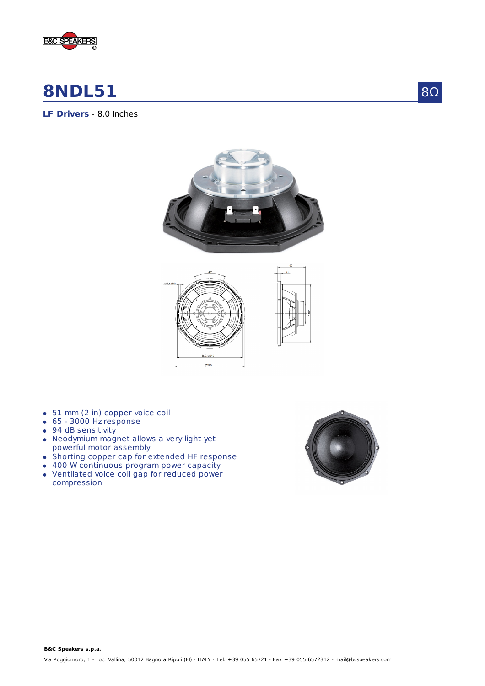

# **8NDL51**

8Ω

## **LF Drivers** - 8.0 Inches





- 51 mm (2 in) copper voice coil
- 65 3000 Hz response
- 94 dB sensitivity
- Neodymium magnet allows a very light yet powerful motor assembly
- Shorting copper cap for extended HF response
- 400 W continuous program power capacity
- Ventilated voice coil gap for reduced power compression

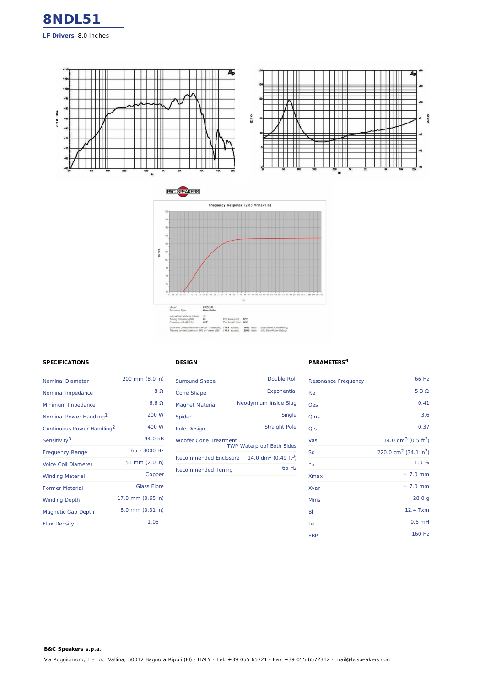



### **SPECIFICATIONS**

**B&C Speakers s.p.a.**

| <b>Nominal Diameter</b>                | 200 mm (8.0 in)    |
|----------------------------------------|--------------------|
| Nominal Impedance                      | 8 Q                |
| Minimum Impedance                      | 660                |
| Nominal Power Handling <sup>1</sup>    | 200 W              |
| Continuous Power Handling <sup>2</sup> | 400 W              |
| Sensitivity <sup>3</sup>               | 94 0 dB            |
| <b>Frequency Range</b>                 | 65 - 3000 Hz       |
| <b>Voice Coil Diameter</b>             | 51 mm (2.0 in)     |
| <b>Winding Material</b>                | Copper             |
| <b>Former Material</b>                 | <b>Glass Fibre</b> |
| <b>Winding Depth</b>                   | 17.0 mm (0.65 in)  |
| <b>Magnetic Gap Depth</b>              | 8.0 mm (0.31 in)   |
| <b>Flux Density</b>                    | $1.05$ T           |

#### **DESIGN**

| Double Roll                                                         |
|---------------------------------------------------------------------|
| Exponential                                                         |
| Neodymium Inside Slug                                               |
| Single                                                              |
| <b>Straight Pole</b>                                                |
| <b>Woofer Cone Treatment</b><br><b>TWP Waterproof Both Sides</b>    |
| 14.0 $\text{dm}^3$ (0.49 ft <sup>3</sup> )<br>Recommended Enclosure |
| 65 Hz                                                               |
|                                                                     |

#### **PARAMETERS 4**

| <b>Resonance Frequency</b> | 66 Hz                                         |
|----------------------------|-----------------------------------------------|
| Re                         | 5.3 $\Omega$                                  |
| Qes                        | 0.41                                          |
| Qms                        | 3.6                                           |
| Qts                        | 0.37                                          |
| Vas                        | 14.0 $dm^3$ (0.5 ft <sup>3</sup> )            |
| Sd                         | 220.0 cm <sup>2</sup> (34.1 in <sup>2</sup> ) |
| ηo                         | 1.0%                                          |
| <b>Xmax</b>                | $± 7.0$ mm                                    |
| Xvar                       | $± 7.0$ mm                                    |
| <b>Mms</b>                 | 28.0 g                                        |
| BI                         | 12.4 Txm                                      |
| Le                         | $0.5$ mH                                      |
| <b>EBP</b>                 | 160 Hz                                        |